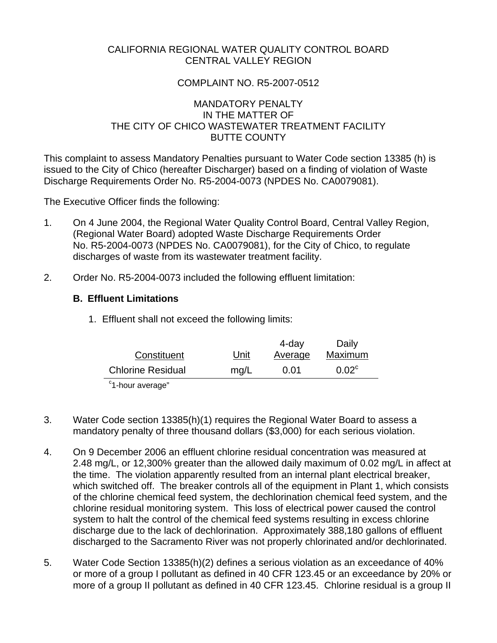## CALIFORNIA REGIONAL WATER QUALITY CONTROL BOARD CENTRAL VALLEY REGION

# COMPLAINT NO. R5-2007-0512

# MANDATORY PENALTY IN THE MATTER OF THE CITY OF CHICO WASTEWATER TREATMENT FACILITY BUTTE COUNTY

This complaint to assess Mandatory Penalties pursuant to Water Code section 13385 (h) is issued to the City of Chico (hereafter Discharger) based on a finding of violation of Waste Discharge Requirements Order No. R5-2004-0073 (NPDES No. CA0079081).

The Executive Officer finds the following:

- 1. On 4 June 2004, the Regional Water Quality Control Board, Central Valley Region, (Regional Water Board) adopted Waste Discharge Requirements Order No. R5-2004-0073 (NPDES No. CA0079081), for the City of Chico, to regulate discharges of waste from its wastewater treatment facility.
- 2. Order No. R5-2004-0073 included the following effluent limitation:

## **B. Effluent Limitations**

1. Effluent shall not exceed the following limits:

|                          |      | 4-day   | Daily          |
|--------------------------|------|---------|----------------|
| Constituent              | Unit | Average | Maximum        |
| <b>Chlorine Residual</b> | mq/L | 0.01    | $0.02^{\circ}$ |
| $\sim$ $\sim$            |      |         |                |

<sup>c</sup>1-hour average"

- 3. Water Code section 13385(h)(1) requires the Regional Water Board to assess a mandatory penalty of three thousand dollars (\$3,000) for each serious violation.
- 4. On 9 December 2006 an effluent chlorine residual concentration was measured at 2.48 mg/L, or 12,300% greater than the allowed daily maximum of 0.02 mg/L in affect at the time. The violation apparently resulted from an internal plant electrical breaker, which switched off. The breaker controls all of the equipment in Plant 1, which consists of the chlorine chemical feed system, the dechlorination chemical feed system, and the chlorine residual monitoring system. This loss of electrical power caused the control system to halt the control of the chemical feed systems resulting in excess chlorine discharge due to the lack of dechlorination. Approximately 388,180 gallons of effluent discharged to the Sacramento River was not properly chlorinated and/or dechlorinated.
- 5. Water Code Section 13385(h)(2) defines a serious violation as an exceedance of 40% or more of a group I pollutant as defined in 40 CFR 123.45 or an exceedance by 20% or more of a group II pollutant as defined in 40 CFR 123.45. Chlorine residual is a group II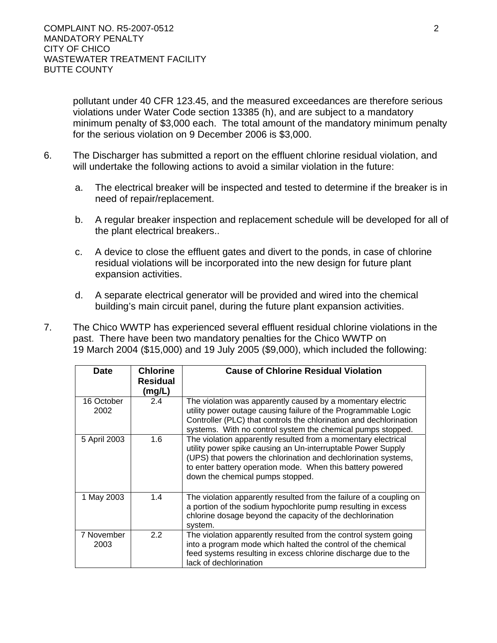pollutant under 40 CFR 123.45, and the measured exceedances are therefore serious violations under Water Code section 13385 (h), and are subject to a mandatory minimum penalty of \$3,000 each. The total amount of the mandatory minimum penalty for the serious violation on 9 December 2006 is \$3,000.

- 6. The Discharger has submitted a report on the effluent chlorine residual violation, and will undertake the following actions to avoid a similar violation in the future:
	- a. The electrical breaker will be inspected and tested to determine if the breaker is in need of repair/replacement.
	- b. A regular breaker inspection and replacement schedule will be developed for all of the plant electrical breakers..
	- c. A device to close the effluent gates and divert to the ponds, in case of chlorine residual violations will be incorporated into the new design for future plant expansion activities.
	- d. A separate electrical generator will be provided and wired into the chemical building's main circuit panel, during the future plant expansion activities.
- 7. The Chico WWTP has experienced several effluent residual chlorine violations in the past. There have been two mandatory penalties for the Chico WWTP on 19 March 2004 (\$15,000) and 19 July 2005 (\$9,000), which included the following:

| <b>Date</b>        | <b>Chlorine</b><br><b>Residual</b><br>(mg/L) | <b>Cause of Chlorine Residual Violation</b>                                                                                                                                                                                                                                                       |
|--------------------|----------------------------------------------|---------------------------------------------------------------------------------------------------------------------------------------------------------------------------------------------------------------------------------------------------------------------------------------------------|
| 16 October<br>2002 | 2.4                                          | The violation was apparently caused by a momentary electric<br>utility power outage causing failure of the Programmable Logic<br>Controller (PLC) that controls the chlorination and dechlorination<br>systems. With no control system the chemical pumps stopped.                                |
| 5 April 2003       | 1.6                                          | The violation apparently resulted from a momentary electrical<br>utility power spike causing an Un-interruptable Power Supply<br>(UPS) that powers the chlorination and dechlorination systems,<br>to enter battery operation mode. When this battery powered<br>down the chemical pumps stopped. |
| 1 May 2003         | 1.4                                          | The violation apparently resulted from the failure of a coupling on<br>a portion of the sodium hypochlorite pump resulting in excess<br>chlorine dosage beyond the capacity of the dechlorination<br>system.                                                                                      |
| 7 November<br>2003 | 2.2                                          | The violation apparently resulted from the control system going<br>into a program mode which halted the control of the chemical<br>feed systems resulting in excess chlorine discharge due to the<br>lack of dechlorination                                                                       |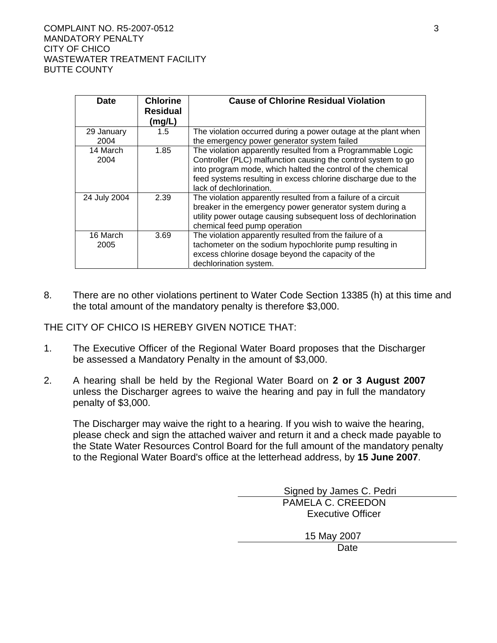| <b>Date</b>        | <b>Chlorine</b><br><b>Residual</b><br>(mg/L) | <b>Cause of Chlorine Residual Violation</b>                                                                                                                                                                                                                                              |
|--------------------|----------------------------------------------|------------------------------------------------------------------------------------------------------------------------------------------------------------------------------------------------------------------------------------------------------------------------------------------|
| 29 January<br>2004 | 1.5                                          | The violation occurred during a power outage at the plant when<br>the emergency power generator system failed                                                                                                                                                                            |
| 14 March<br>2004   | 1.85                                         | The violation apparently resulted from a Programmable Logic<br>Controller (PLC) malfunction causing the control system to go<br>into program mode, which halted the control of the chemical<br>feed systems resulting in excess chlorine discharge due to the<br>lack of dechlorination. |
| 24 July 2004       | 2.39                                         | The violation apparently resulted from a failure of a circuit<br>breaker in the emergency power generator system during a<br>utility power outage causing subsequent loss of dechlorination<br>chemical feed pump operation                                                              |
| 16 March<br>2005   | 3.69                                         | The violation apparently resulted from the failure of a<br>tachometer on the sodium hypochlorite pump resulting in<br>excess chlorine dosage beyond the capacity of the<br>dechlorination system.                                                                                        |

8. There are no other violations pertinent to Water Code Section 13385 (h) at this time and the total amount of the mandatory penalty is therefore \$3,000.

THE CITY OF CHICO IS HEREBY GIVEN NOTICE THAT:

- 1. The Executive Officer of the Regional Water Board proposes that the Discharger be assessed a Mandatory Penalty in the amount of \$3,000.
- 2. A hearing shall be held by the Regional Water Board on **2 or 3 August 2007** unless the Discharger agrees to waive the hearing and pay in full the mandatory penalty of \$3,000.

The Discharger may waive the right to a hearing. If you wish to waive the hearing, please check and sign the attached waiver and return it and a check made payable to the State Water Resources Control Board for the full amount of the mandatory penalty to the Regional Water Board's office at the letterhead address, by **15 June 2007**.

> Signed by James C. Pedri PAMELA C. CREEDON Executive Officer 15 May 2007 Date